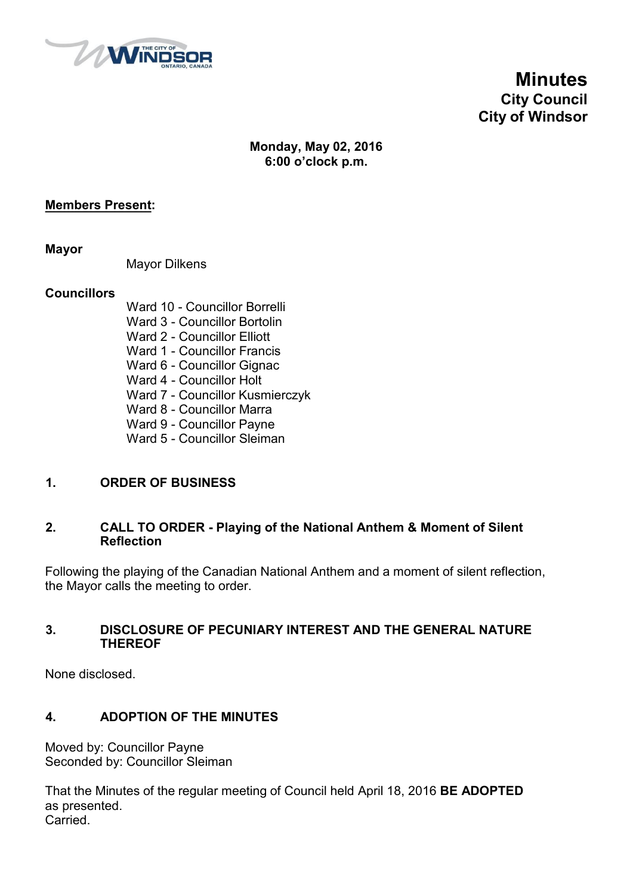

**Minutes City Council City of Windsor**

# **Monday, May 02, 2016 6:00 o'clock p.m.**

# **Members Present:**

**Mayor**

Mayor Dilkens

#### **Councillors**

Ward 10 - Councillor Borrelli Ward 3 - Councillor Bortolin Ward 2 - Councillor Elliott Ward 1 - Councillor Francis Ward 6 - Councillor Gignac Ward 4 - Councillor Holt Ward 7 - Councillor Kusmierczyk Ward 8 - Councillor Marra Ward 9 - Councillor Payne Ward 5 - Councillor Sleiman

# **1. ORDER OF BUSINESS**

#### **2. CALL TO ORDER - Playing of the National Anthem & Moment of Silent Reflection**

Following the playing of the Canadian National Anthem and a moment of silent reflection, the Mayor calls the meeting to order.

#### **3. DISCLOSURE OF PECUNIARY INTEREST AND THE GENERAL NATURE THEREOF**

None disclosed.

# **4. ADOPTION OF THE MINUTES**

Moved by: Councillor Payne Seconded by: Councillor Sleiman

That the Minutes of the regular meeting of Council held April 18, 2016 **BE ADOPTED** as presented. Carried.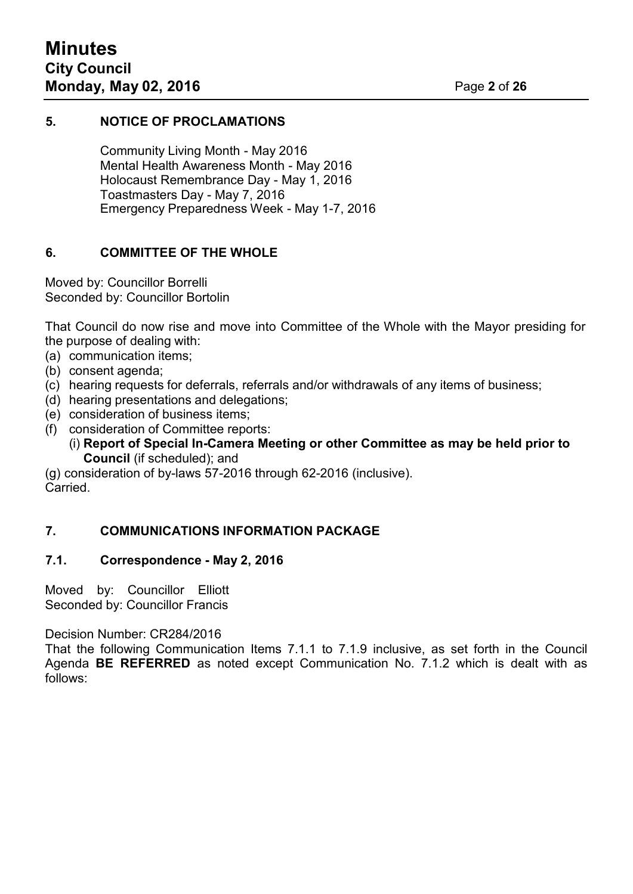# **5. NOTICE OF PROCLAMATIONS**

Community Living Month - May 2016 Mental Health Awareness Month - May 2016 Holocaust Remembrance Day - May 1, 2016 Toastmasters Day - May 7, 2016 Emergency Preparedness Week - May 1-7, 2016

# **6. COMMITTEE OF THE WHOLE**

Moved by: Councillor Borrelli Seconded by: Councillor Bortolin

That Council do now rise and move into Committee of the Whole with the Mayor presiding for the purpose of dealing with:

- (a) communication items;
- (b) consent agenda;
- (c) hearing requests for deferrals, referrals and/or withdrawals of any items of business;
- (d) hearing presentations and delegations;
- (e) consideration of business items;
- (f) consideration of Committee reports:
	- (i) **Report of Special In-Camera Meeting or other Committee as may be held prior to Council** (if scheduled); and

(g) consideration of by-laws 57-2016 through 62-2016 (inclusive). Carried.

# **7. COMMUNICATIONS INFORMATION PACKAGE**

## **7.1. Correspondence - May 2, 2016**

Moved by: Councillor Elliott Seconded by: Councillor Francis

Decision Number: CR284/2016

That the following Communication Items 7.1.1 to 7.1.9 inclusive, as set forth in the Council Agenda **BE REFERRED** as noted except Communication No. 7.1.2 which is dealt with as follows: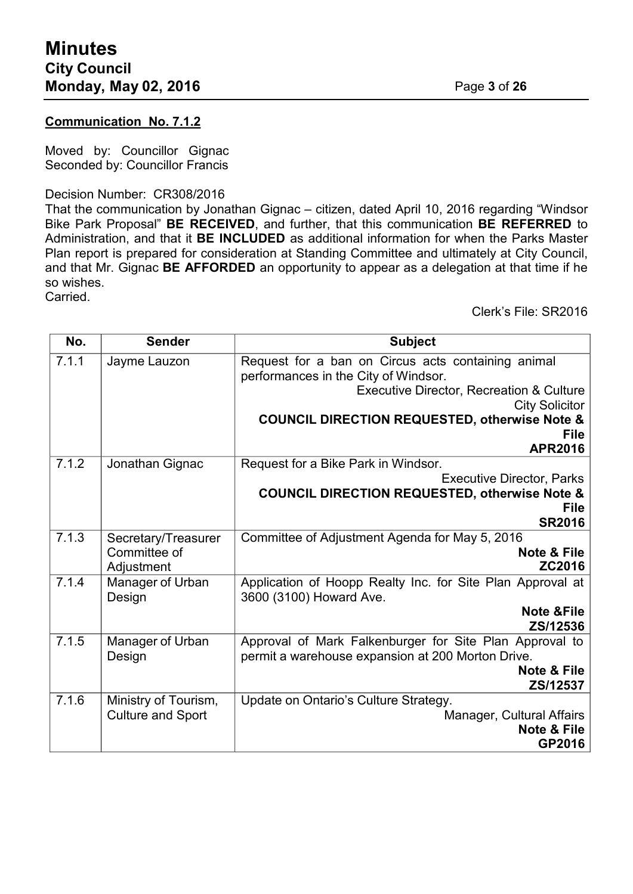### **Communication No. 7.1.2**

Moved by: Councillor Gignac Seconded by: Councillor Francis

Decision Number: CR308/2016

That the communication by Jonathan Gignac – citizen, dated April 10, 2016 regarding "Windsor Bike Park Proposal" **BE RECEIVED**, and further, that this communication **BE REFERRED** to Administration, and that it **BE INCLUDED** as additional information for when the Parks Master Plan report is prepared for consideration at Standing Committee and ultimately at City Council, and that Mr. Gignac **BE AFFORDED** an opportunity to appear as a delegation at that time if he so wishes.

Carried.

Clerk's File: SR2016

| No.                       | <b>Sender</b>                                          | <b>Subject</b>                                             |
|---------------------------|--------------------------------------------------------|------------------------------------------------------------|
| 7.1.1                     | Jayme Lauzon                                           | Request for a ban on Circus acts containing animal         |
|                           |                                                        | performances in the City of Windsor.                       |
|                           |                                                        | <b>Executive Director, Recreation &amp; Culture</b>        |
|                           |                                                        | <b>City Solicitor</b>                                      |
|                           |                                                        | <b>COUNCIL DIRECTION REQUESTED, otherwise Note &amp;</b>   |
|                           |                                                        | <b>File</b>                                                |
|                           |                                                        | <b>APR2016</b>                                             |
| 7.1.2                     | Request for a Bike Park in Windsor.<br>Jonathan Gignac |                                                            |
|                           |                                                        | <b>Executive Director, Parks</b>                           |
|                           |                                                        | <b>COUNCIL DIRECTION REQUESTED, otherwise Note &amp;</b>   |
|                           |                                                        | <b>File</b>                                                |
|                           |                                                        | <b>SR2016</b>                                              |
| 7.1.3                     | Secretary/Treasurer                                    | Committee of Adjustment Agenda for May 5, 2016             |
|                           | Committee of                                           | <b>Note &amp; File</b>                                     |
|                           | Adjustment                                             | ZC2016                                                     |
| 7.1.4<br>Manager of Urban |                                                        | Application of Hoopp Realty Inc. for Site Plan Approval at |
|                           | Design                                                 | 3600 (3100) Howard Ave.                                    |
|                           |                                                        | <b>Note &amp;File</b>                                      |
|                           |                                                        | ZS/12536                                                   |
| 7.1.5                     | Manager of Urban                                       | Approval of Mark Falkenburger for Site Plan Approval to    |
|                           | Design                                                 | permit a warehouse expansion at 200 Morton Drive.          |
|                           |                                                        | Note & File                                                |
|                           |                                                        | ZS/12537                                                   |
| 7.1.6                     | Ministry of Tourism,                                   | Update on Ontario's Culture Strategy.                      |
|                           | <b>Culture and Sport</b>                               | Manager, Cultural Affairs                                  |
|                           |                                                        | <b>Note &amp; File</b>                                     |
|                           |                                                        | GP2016                                                     |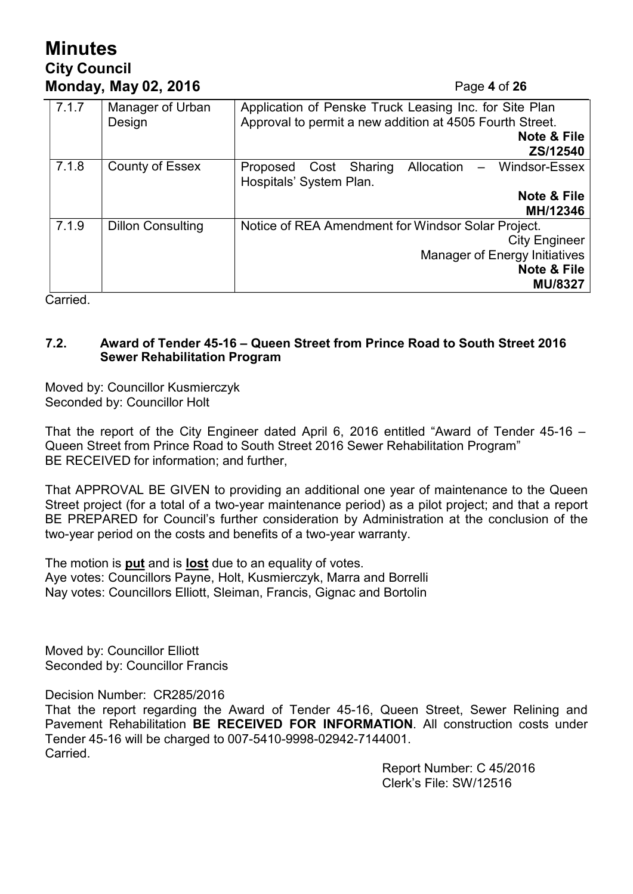# **Minutes City Council Monday, May 02, 2016** Page **4** of **26**

| 7.1.7 | Manager of Urban<br>Design | Application of Penske Truck Leasing Inc. for Site Plan<br>Approval to permit a new addition at 4505 Fourth Street.<br>Note & File |  |  |
|-------|----------------------------|-----------------------------------------------------------------------------------------------------------------------------------|--|--|
|       |                            | ZS/12540                                                                                                                          |  |  |
| 7.1.8 | <b>County of Essex</b>     | Allocation -<br>Windsor-Essex<br>Cost Sharing<br>Proposed<br>Hospitals' System Plan.                                              |  |  |
|       |                            | Note & File<br>MH/12346                                                                                                           |  |  |
| 7.1.9 | <b>Dillon Consulting</b>   | Notice of REA Amendment for Windsor Solar Project.                                                                                |  |  |
|       |                            | <b>City Engineer</b>                                                                                                              |  |  |
|       |                            | <b>Manager of Energy Initiatives</b>                                                                                              |  |  |
|       |                            | <b>Note &amp; File</b>                                                                                                            |  |  |
|       |                            | <b>MU/8327</b>                                                                                                                    |  |  |

Carried.

# **7.2. Award of Tender 45-16 – Queen Street from Prince Road to South Street 2016 Sewer Rehabilitation Program**

Moved by: Councillor Kusmierczyk Seconded by: Councillor Holt

That the report of the City Engineer dated April 6, 2016 entitled "Award of Tender 45-16 – Queen Street from Prince Road to South Street 2016 Sewer Rehabilitation Program" BE RECEIVED for information; and further,

That APPROVAL BE GIVEN to providing an additional one year of maintenance to the Queen Street project (for a total of a two-year maintenance period) as a pilot project; and that a report BE PREPARED for Council's further consideration by Administration at the conclusion of the two-year period on the costs and benefits of a two-year warranty.

The motion is **put** and is **lost** due to an equality of votes. Aye votes: Councillors Payne, Holt, Kusmierczyk, Marra and Borrelli Nay votes: Councillors Elliott, Sleiman, Francis, Gignac and Bortolin

Moved by: Councillor Elliott Seconded by: Councillor Francis

Decision Number: CR285/2016

That the report regarding the Award of Tender 45-16, Queen Street, Sewer Relining and Pavement Rehabilitation **BE RECEIVED FOR INFORMATION**. All construction costs under Tender 45-16 will be charged to 007-5410-9998-02942-7144001. Carried.

> Report Number: C 45/2016 Clerk's File: SW/12516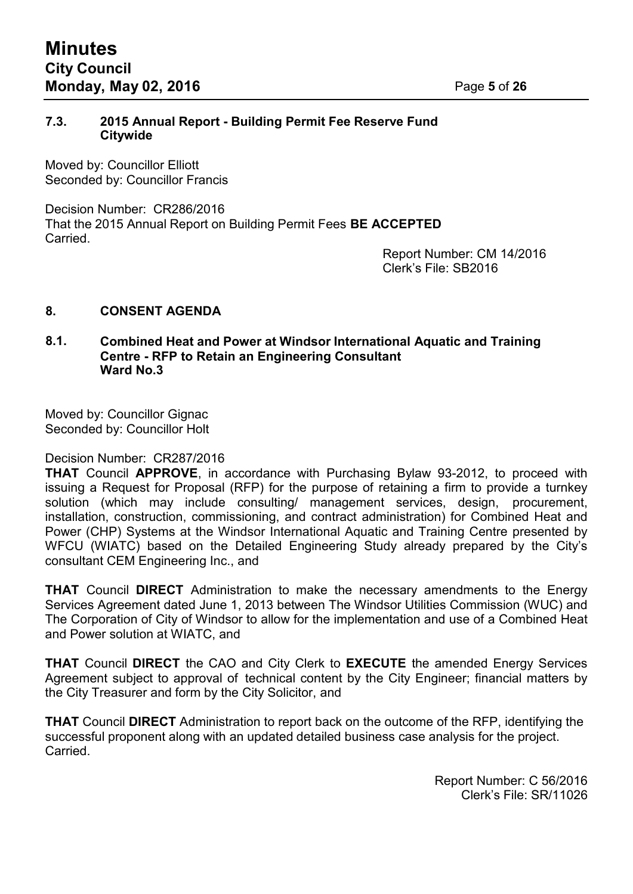# **7.3. 2015 Annual Report - Building Permit Fee Reserve Fund Citywide**

Moved by: Councillor Elliott Seconded by: Councillor Francis

Decision Number: CR286/2016 That the 2015 Annual Report on Building Permit Fees **BE ACCEPTED** Carried.

Report Number: CM 14/2016 Clerk's File: SB2016

# **8. CONSENT AGENDA**

#### **8.1. Combined Heat and Power at Windsor International Aquatic and Training Centre - RFP to Retain an Engineering Consultant Ward No.3**

Moved by: Councillor Gignac Seconded by: Councillor Holt

#### Decision Number: CR287/2016

**THAT** Council **APPROVE**, in accordance with Purchasing Bylaw 93-2012, to proceed with issuing a Request for Proposal (RFP) for the purpose of retaining a firm to provide a turnkey solution (which may include consulting/ management services, design, procurement, installation, construction, commissioning, and contract administration) for Combined Heat and Power (CHP) Systems at the Windsor International Aquatic and Training Centre presented by WFCU (WIATC) based on the Detailed Engineering Study already prepared by the City's consultant CEM Engineering Inc., and

**THAT** Council **DIRECT** Administration to make the necessary amendments to the Energy Services Agreement dated June 1, 2013 between The Windsor Utilities Commission (WUC) and The Corporation of City of Windsor to allow for the implementation and use of a Combined Heat and Power solution at WIATC, and

**THAT** Council **DIRECT** the CAO and City Clerk to **EXECUTE** the amended Energy Services Agreement subject to approval of technical content by the City Engineer; financial matters by the City Treasurer and form by the City Solicitor, and

**THAT** Council **DIRECT** Administration to report back on the outcome of the RFP, identifying the successful proponent along with an updated detailed business case analysis for the project. Carried.

> Report Number: C 56/2016 Clerk's File: SR/11026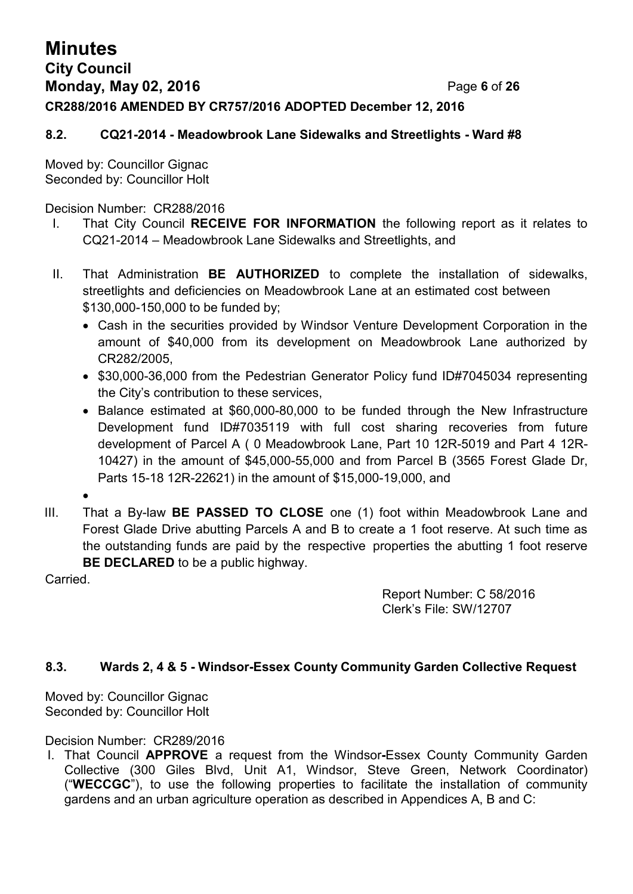# **Minutes City Council Monday, May 02, 2016** Page **6** of **26 CR288/2016 AMENDED BY CR757/2016 ADOPTED December 12, 2016**

# **8.2. CQ21-2014 - Meadowbrook Lane Sidewalks and Streetlights - Ward #8**

Moved by: Councillor Gignac Seconded by: Councillor Holt

Decision Number: CR288/2016

- I. That City Council **RECEIVE FOR INFORMATION** the following report as it relates to CQ21-2014 – Meadowbrook Lane Sidewalks and Streetlights, and
- II. That Administration **BE AUTHORIZED** to complete the installation of sidewalks, streetlights and deficiencies on Meadowbrook Lane at an estimated cost between \$130,000-150,000 to be funded by;
	- Cash in the securities provided by Windsor Venture Development Corporation in the amount of \$40,000 from its development on Meadowbrook Lane authorized by CR282/2005,
	- \$30,000-36,000 from the Pedestrian Generator Policy fund ID#7045034 representing the City's contribution to these services,
	- Balance estimated at \$60,000-80,000 to be funded through the New Infrastructure Development fund ID#7035119 with full cost sharing recoveries from future development of Parcel A ( 0 Meadowbrook Lane, Part 10 12R-5019 and Part 4 12R-10427) in the amount of \$45,000-55,000 and from Parcel B (3565 Forest Glade Dr, Parts 15-18 12R-22621) in the amount of \$15,000-19,000, and
	- •
- III. That a By-law **BE PASSED TO CLOSE** one (1) foot within Meadowbrook Lane and Forest Glade Drive abutting Parcels A and B to create a 1 foot reserve. At such time as the outstanding funds are paid by the respective properties the abutting 1 foot reserve **BE DECLARED** to be a public highway.

Carried.

Report Number: C 58/2016 Clerk's File: SW/12707

# **8.3. Wards 2, 4 & 5 - Windsor-Essex County Community Garden Collective Request**

Moved by: Councillor Gignac Seconded by: Councillor Holt

Decision Number: CR289/2016

I. That Council **APPROVE** a request from the Windsor**-**Essex County Community Garden Collective (300 Giles Blvd, Unit A1, Windsor, Steve Green, Network Coordinator) ("**WECCGC**"), to use the following properties to facilitate the installation of community gardens and an urban agriculture operation as described in Appendices A, B and C: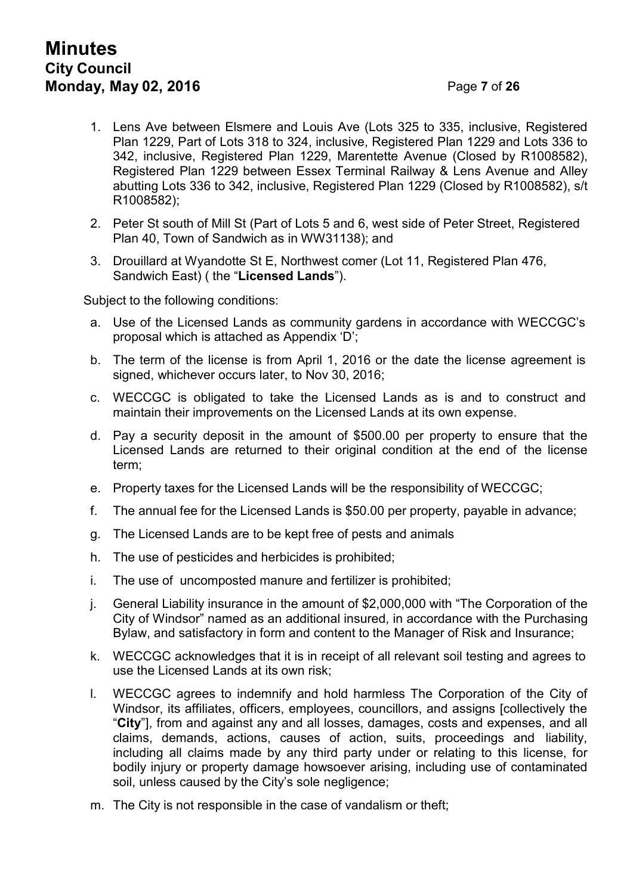# **Minutes City Council Monday, May 02, 2016** Page **7** of **26**

- 1. Lens Ave between Elsmere and Louis Ave (Lots 325 to 335, inclusive, Registered Plan 1229, Part of Lots 318 to 324, inclusive, Registered Plan 1229 and Lots 336 to 342, inclusive, Registered Plan 1229, Marentette Avenue (Closed by R1008582), Registered Plan 1229 between Essex Terminal Railway & Lens Avenue and Alley abutting Lots 336 to 342, inclusive, Registered Plan 1229 (Closed by R1008582), s/t R1008582);
- 2. Peter St south of Mill St (Part of Lots 5 and 6, west side of Peter Street, Registered Plan 40, Town of Sandwich as in WW31138); and
- 3. Drouillard at Wyandotte St E, Northwest comer (Lot 11, Registered Plan 476, Sandwich East) ( the "**Licensed Lands**").

Subject to the following conditions:

- a. Use of the Licensed Lands as community gardens in accordance with WECCGC's proposal which is attached as Appendix 'D';
- b. The term of the license is from April 1, 2016 or the date the license agreement is signed, whichever occurs later, to Nov 30, 2016;
- c. WECCGC is obligated to take the Licensed Lands as is and to construct and maintain their improvements on the Licensed Lands at its own expense.
- d. Pay a security deposit in the amount of \$500.00 per property to ensure that the Licensed Lands are returned to their original condition at the end of the license term;
- e. Property taxes for the Licensed Lands will be the responsibility of WECCGC;
- f. The annual fee for the Licensed Lands is \$50.00 per property, payable in advance;
- g. The Licensed Lands are to be kept free of pests and animals
- h. The use of pesticides and herbicides is prohibited;
- i. The use of uncomposted manure and fertilizer is prohibited;
- j. General Liability insurance in the amount of \$2,000,000 with "The Corporation of the City of Windsor" named as an additional insured, in accordance with the Purchasing Bylaw, and satisfactory in form and content to the Manager of Risk and Insurance;
- k. WECCGC acknowledges that it is in receipt of all relevant soil testing and agrees to use the Licensed Lands at its own risk;
- l. WECCGC agrees to indemnify and hold harmless The Corporation of the City of Windsor, its affiliates, officers, employees, councillors, and assigns [collectively the "**City**"], from and against any and all losses, damages, costs and expenses, and all claims, demands, actions, causes of action, suits, proceedings and liability, including all claims made by any third party under or relating to this license, for bodily injury or property damage howsoever arising, including use of contaminated soil, unless caused by the City's sole negligence;
- m. The City is not responsible in the case of vandalism or theft;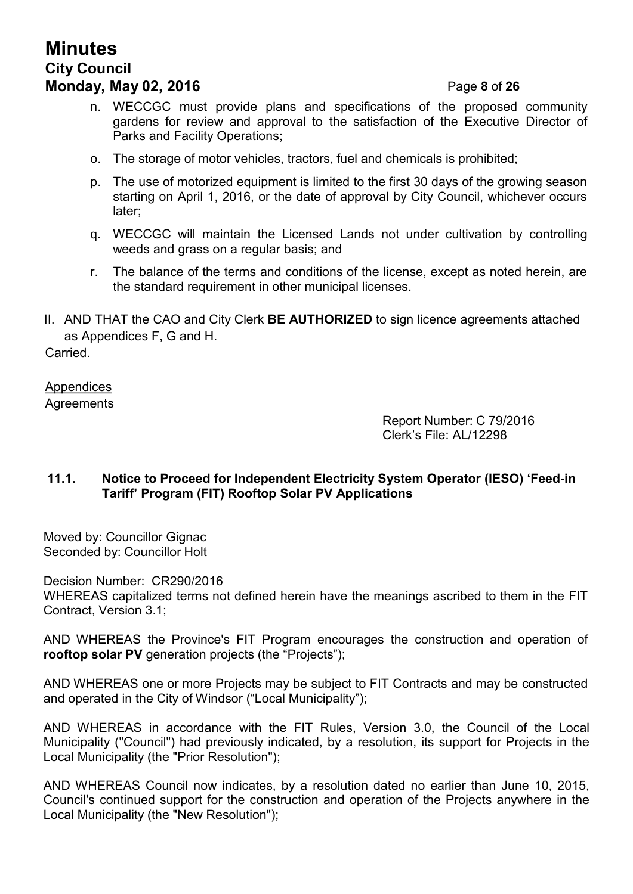# **Minutes City Council Monday, May 02, 2016** Page **8** of **26**

- n. WECCGC must provide plans and specifications of the proposed community gardens for review and approval to the satisfaction of the Executive Director of Parks and Facility Operations;
- o. The storage of motor vehicles, tractors, fuel and chemicals is prohibited;
- p. The use of motorized equipment is limited to the first 30 days of the growing season starting on April 1, 2016, or the date of approval by City Council, whichever occurs later;
- q. WECCGC will maintain the Licensed Lands not under cultivation by controlling weeds and grass on a regular basis; and
- r. The balance of the terms and conditions of the license, except as noted herein, are the standard requirement in other municipal licenses.
- II. AND THAT the CAO and City Clerk **BE AUTHORIZED** to sign licence agreements attached as Appendices F, G and H.

**Carried** 

**Appendices Agreements** 

> Report Number: C 79/2016 Clerk's File: AL/12298

# **11.1. Notice to Proceed for Independent Electricity System Operator (IESO) 'Feed-in Tariff' Program (FIT) Rooftop Solar PV Applications**

Moved by: Councillor Gignac Seconded by: Councillor Holt

Decision Number: CR290/2016 WHEREAS capitalized terms not defined herein have the meanings ascribed to them in the FIT Contract, Version 3.1;

AND WHEREAS the Province's FIT Program encourages the construction and operation of **rooftop solar PV** generation projects (the "Projects");

AND WHEREAS one or more Projects may be subject to FIT Contracts and may be constructed and operated in the City of Windsor ("Local Municipality");

AND WHEREAS in accordance with the FIT Rules, Version 3.0, the Council of the Local Municipality ("Council") had previously indicated, by a resolution, its support for Projects in the Local Municipality (the "Prior Resolution");

AND WHEREAS Council now indicates, by a resolution dated no earlier than June 10, 2015, Council's continued support for the construction and operation of the Projects anywhere in the Local Municipality (the "New Resolution");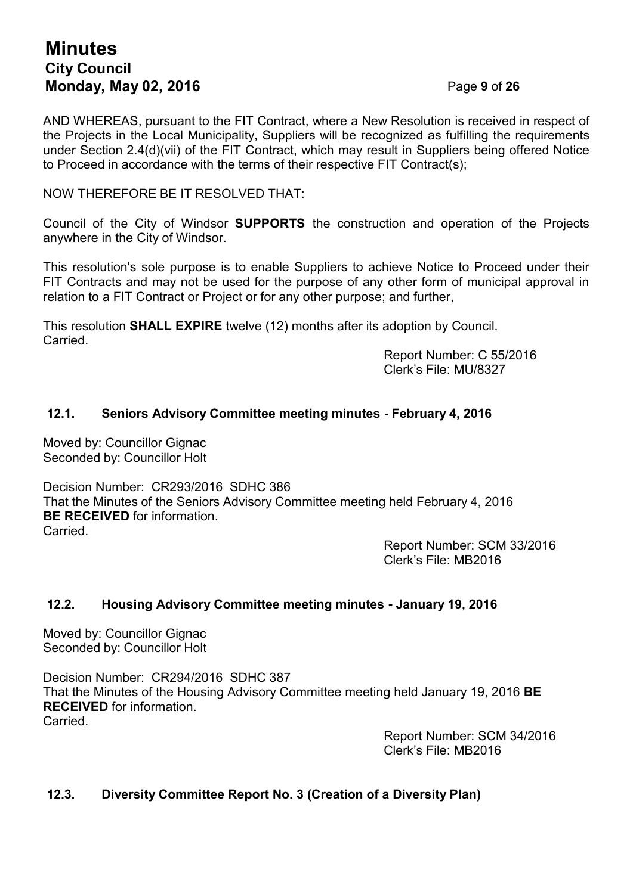# **Minutes City Council Monday, May 02, 2016** Page **9** of **26**

AND WHEREAS, pursuant to the FIT Contract, where a New Resolution is received in respect of the Projects in the Local Municipality, Suppliers will be recognized as fulfilling the requirements under Section 2.4(d)(vii) of the FIT Contract, which may result in Suppliers being offered Notice to Proceed in accordance with the terms of their respective FIT Contract(s);

# NOW THEREFORE BE IT RESOLVED THAT:

Council of the City of Windsor **SUPPORTS** the construction and operation of the Projects anywhere in the City of Windsor.

This resolution's sole purpose is to enable Suppliers to achieve Notice to Proceed under their FIT Contracts and may not be used for the purpose of any other form of municipal approval in relation to a FIT Contract or Project or for any other purpose; and further,

This resolution **SHALL EXPIRE** twelve (12) months after its adoption by Council. Carried.

Report Number: C 55/2016 Clerk's File: MU/8327

# **12.1. Seniors Advisory Committee meeting minutes - February 4, 2016**

Moved by: Councillor Gignac Seconded by: Councillor Holt

Decision Number: CR293/2016 SDHC 386 That the Minutes of the Seniors Advisory Committee meeting held February 4, 2016 **BE RECEIVED** for information. **Carried** 

Report Number: SCM 33/2016 Clerk's File: MB2016

# **12.2. Housing Advisory Committee meeting minutes - January 19, 2016**

Moved by: Councillor Gignac Seconded by: Councillor Holt

Decision Number: CR294/2016 SDHC 387 That the Minutes of the Housing Advisory Committee meeting held January 19, 2016 **BE RECEIVED** for information. Carried.

> Report Number: SCM 34/2016 Clerk's File: MB2016

# **12.3. Diversity Committee Report No. 3 (Creation of a Diversity Plan)**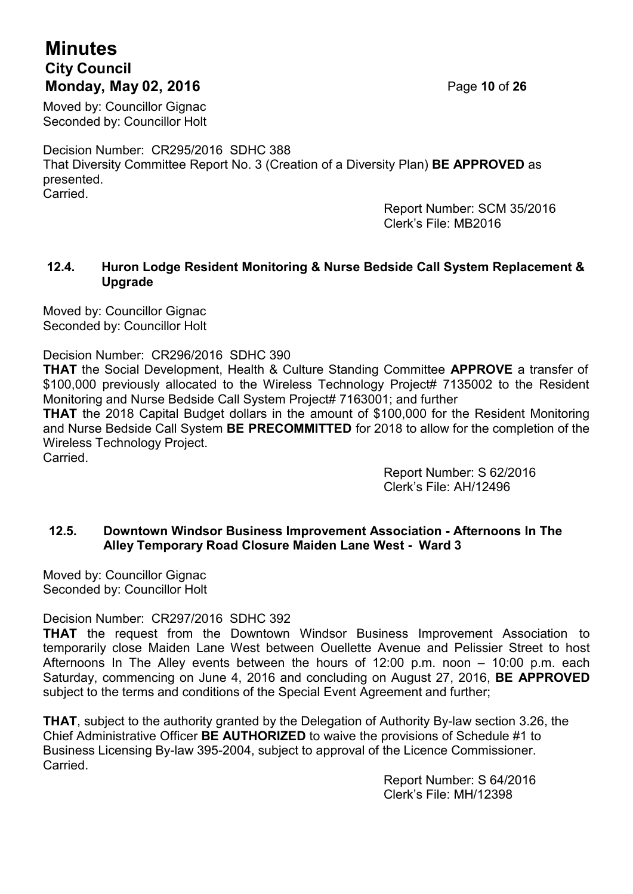# **Minutes City Council Monday, May 02, 2016** Page **10** of **26**

Moved by: Councillor Gignac Seconded by: Councillor Holt

Decision Number: CR295/2016 SDHC 388 That Diversity Committee Report No. 3 (Creation of a Diversity Plan) **BE APPROVED** as presented. Carried.

> Report Number: SCM 35/2016 Clerk's File: MB2016

# **12.4. Huron Lodge Resident Monitoring & Nurse Bedside Call System Replacement & Upgrade**

Moved by: Councillor Gignac Seconded by: Councillor Holt

Decision Number: CR296/2016 SDHC 390

**THAT** the Social Development, Health & Culture Standing Committee **APPROVE** a transfer of \$100,000 previously allocated to the Wireless Technology Project# 7135002 to the Resident Monitoring and Nurse Bedside Call System Project# 7163001; and further **THAT** the 2018 Capital Budget dollars in the amount of \$100,000 for the Resident Monitoring and Nurse Bedside Call System **BE PRECOMMITTED** for 2018 to allow for the completion of the Wireless Technology Project. Carried.

> Report Number: S 62/2016 Clerk's File: AH/12496

# **12.5. Downtown Windsor Business Improvement Association - Afternoons In The Alley Temporary Road Closure Maiden Lane West - Ward 3**

Moved by: Councillor Gignac Seconded by: Councillor Holt

Decision Number: CR297/2016 SDHC 392

**THAT** the request from the Downtown Windsor Business Improvement Association to temporarily close Maiden Lane West between Ouellette Avenue and Pelissier Street to host Afternoons In The Alley events between the hours of 12:00 p.m. noon – 10:00 p.m. each Saturday, commencing on June 4, 2016 and concluding on August 27, 2016, **BE APPROVED** subject to the terms and conditions of the Special Event Agreement and further;

**THAT**, subject to the authority granted by the Delegation of Authority By-law section 3.26, the Chief Administrative Officer **BE AUTHORIZED** to waive the provisions of Schedule #1 to Business Licensing By-law 395-2004, subject to approval of the Licence Commissioner. Carried.

> Report Number: S 64/2016 Clerk's File: MH/12398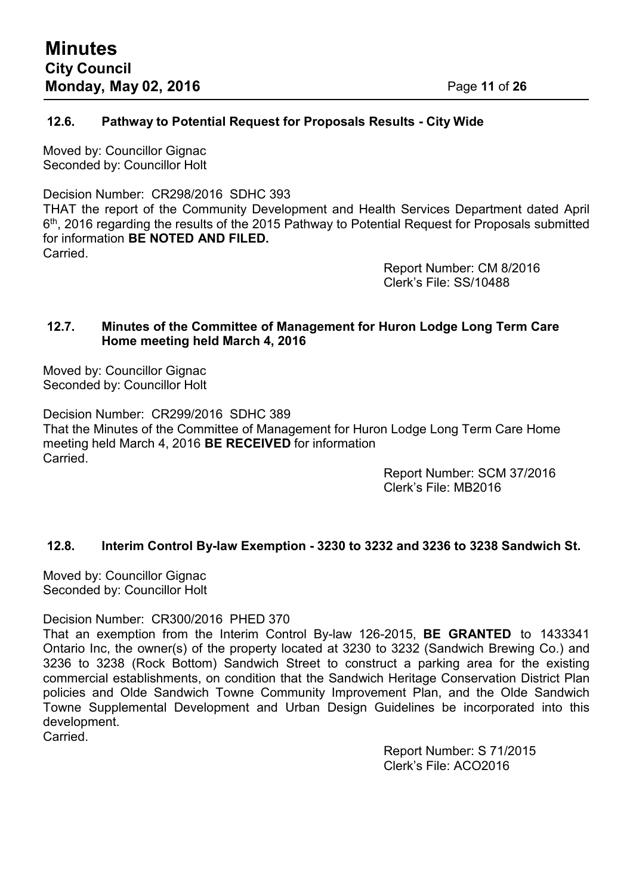# **12.6. Pathway to Potential Request for Proposals Results - City Wide**

Moved by: Councillor Gignac Seconded by: Councillor Holt

Decision Number: CR298/2016 SDHC 393

THAT the report of the Community Development and Health Services Department dated April  $6^{\text{th}}$ , 2016 regarding the results of the 2015 Pathway to Potential Request for Proposals submitted for information **BE NOTED AND FILED. Carried** 

> Report Number: CM 8/2016 Clerk's File: SS/10488

# **12.7. Minutes of the Committee of Management for Huron Lodge Long Term Care Home meeting held March 4, 2016**

Moved by: Councillor Gignac Seconded by: Councillor Holt

Decision Number: CR299/2016 SDHC 389 That the Minutes of the Committee of Management for Huron Lodge Long Term Care Home meeting held March 4, 2016 **BE RECEIVED** for information Carried.

Report Number: SCM 37/2016 Clerk's File: MB2016

# **12.8. Interim Control By-law Exemption - 3230 to 3232 and 3236 to 3238 Sandwich St.**

Moved by: Councillor Gignac Seconded by: Councillor Holt

Decision Number: CR300/2016 PHED 370

That an exemption from the Interim Control By-law 126-2015, **BE GRANTED** to 1433341 Ontario Inc, the owner(s) of the property located at 3230 to 3232 (Sandwich Brewing Co.) and 3236 to 3238 (Rock Bottom) Sandwich Street to construct a parking area for the existing commercial establishments, on condition that the Sandwich Heritage Conservation District Plan policies and Olde Sandwich Towne Community Improvement Plan, and the Olde Sandwich Towne Supplemental Development and Urban Design Guidelines be incorporated into this development.

Carried.

Report Number: S 71/2015 Clerk's File: ACO2016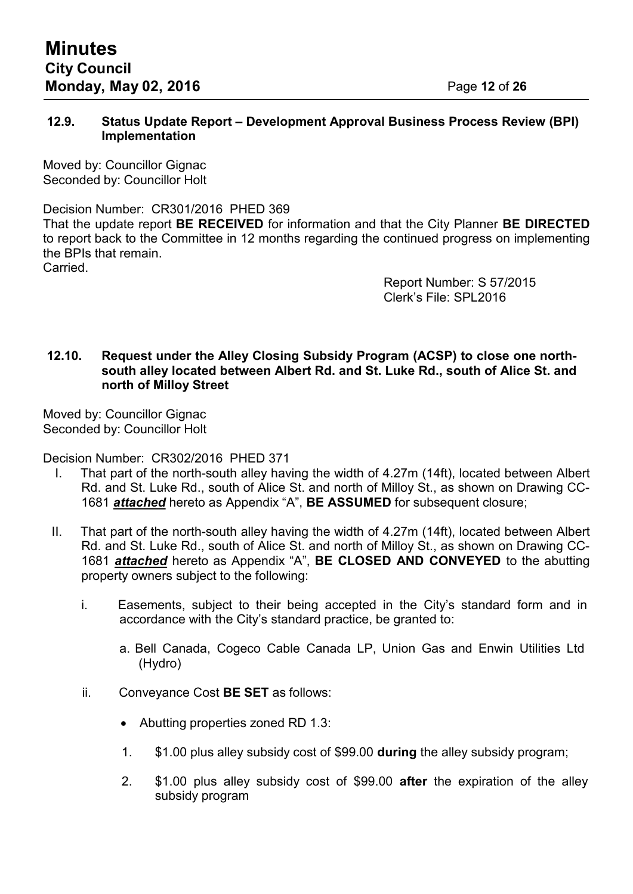# **12.9. Status Update Report – Development Approval Business Process Review (BPI) Implementation**

Moved by: Councillor Gignac Seconded by: Councillor Holt

Decision Number: CR301/2016 PHED 369 That the update report **BE RECEIVED** for information and that the City Planner **BE DIRECTED** to report back to the Committee in 12 months regarding the continued progress on implementing the BPIs that remain. **Carried** 

> Report Number: S 57/2015 Clerk's File: SPL2016

# **12.10. Request under the Alley Closing Subsidy Program (ACSP) to close one northsouth alley located between Albert Rd. and St. Luke Rd., south of Alice St. and north of Milloy Street**

Moved by: Councillor Gignac Seconded by: Councillor Holt

Decision Number: CR302/2016 PHED 371

- I. That part of the north-south alley having the width of 4.27m (14ft), located between Albert Rd. and St. Luke Rd., south of Alice St. and north of Milloy St., as shown on Drawing CC-1681 *attached* hereto as Appendix "A", **BE ASSUMED** for subsequent closure;
- II. That part of the north-south alley having the width of 4.27m (14ft), located between Albert Rd. and St. Luke Rd., south of Alice St. and north of Milloy St., as shown on Drawing CC-1681 *attached* hereto as Appendix "A", **BE CLOSED AND CONVEYED** to the abutting property owners subject to the following:
	- i. Easements, subject to their being accepted in the City's standard form and in accordance with the City's standard practice, be granted to:
		- a. Bell Canada, Cogeco Cable Canada LP, Union Gas and Enwin Utilities Ltd (Hydro)
	- ii. Conveyance Cost **BE SET** as follows:
		- Abutting properties zoned RD 1.3:
		- 1. \$1.00 plus alley subsidy cost of \$99.00 **during** the alley subsidy program;
		- 2. \$1.00 plus alley subsidy cost of \$99.00 **after** the expiration of the alley subsidy program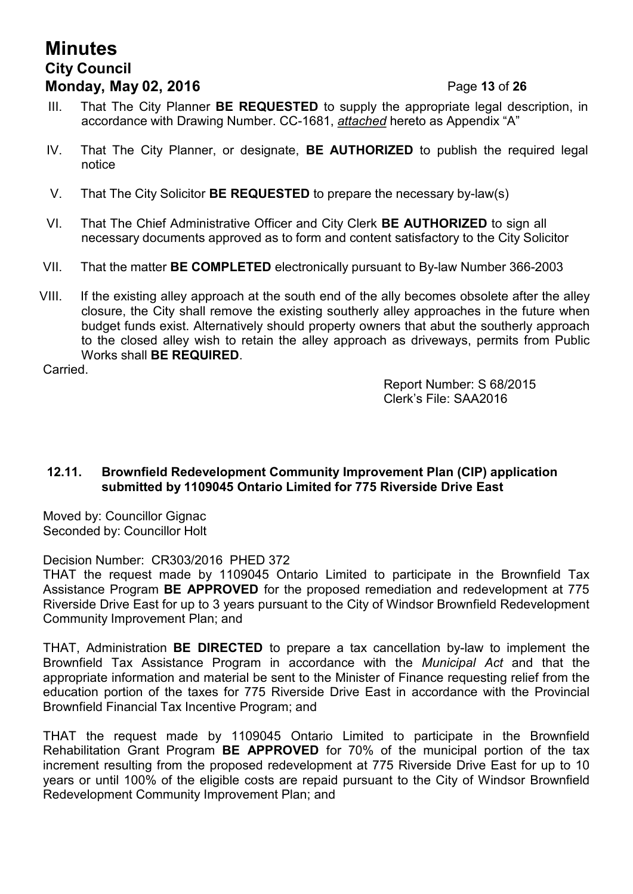# **Minutes City Council Monday, May 02, 2016** Page **13** of **26**

- III. That The City Planner **BE REQUESTED** to supply the appropriate legal description, in accordance with Drawing Number. CC-1681, *attached* hereto as Appendix "A"
- IV. That The City Planner, or designate, **BE AUTHORIZED** to publish the required legal notice
- V. That The City Solicitor **BE REQUESTED** to prepare the necessary by-law(s)
- VI. That The Chief Administrative Officer and City Clerk **BE AUTHORIZED** to sign all necessary documents approved as to form and content satisfactory to the City Solicitor
- VII. That the matter **BE COMPLETED** electronically pursuant to By-law Number 366-2003
- VIII. If the existing alley approach at the south end of the ally becomes obsolete after the alley closure, the City shall remove the existing southerly alley approaches in the future when budget funds exist. Alternatively should property owners that abut the southerly approach to the closed alley wish to retain the alley approach as driveways, permits from Public Works shall **BE REQUIRED**.

Carried.

Report Number: S 68/2015 Clerk's File: SAA2016

# **12.11. Brownfield Redevelopment Community Improvement Plan (CIP) application submitted by 1109045 Ontario Limited for 775 Riverside Drive East**

Moved by: Councillor Gignac Seconded by: Councillor Holt

Decision Number: CR303/2016 PHED 372

THAT the request made by 1109045 Ontario Limited to participate in the Brownfield Tax Assistance Program **BE APPROVED** for the proposed remediation and redevelopment at 775 Riverside Drive East for up to 3 years pursuant to the City of Windsor Brownfield Redevelopment Community Improvement Plan; and

THAT, Administration **BE DIRECTED** to prepare a tax cancellation by-law to implement the Brownfield Tax Assistance Program in accordance with the *Municipal Act* and that the appropriate information and material be sent to the Minister of Finance requesting relief from the education portion of the taxes for 775 Riverside Drive East in accordance with the Provincial Brownfield Financial Tax Incentive Program; and

THAT the request made by 1109045 Ontario Limited to participate in the Brownfield Rehabilitation Grant Program **BE APPROVED** for 70% of the municipal portion of the tax increment resulting from the proposed redevelopment at 775 Riverside Drive East for up to 10 years or until 100% of the eligible costs are repaid pursuant to the City of Windsor Brownfield Redevelopment Community Improvement Plan; and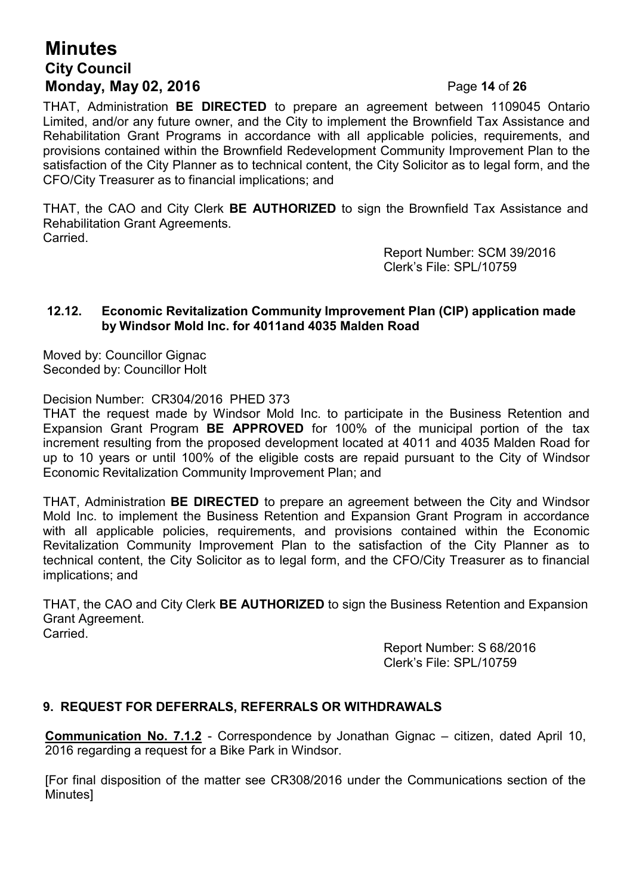# **Minutes City Council Monday, May 02, 2016** Page **14** of **26**

THAT, Administration **BE DIRECTED** to prepare an agreement between 1109045 Ontario Limited, and/or any future owner, and the City to implement the Brownfield Tax Assistance and Rehabilitation Grant Programs in accordance with all applicable policies, requirements, and provisions contained within the Brownfield Redevelopment Community Improvement Plan to the satisfaction of the City Planner as to technical content, the City Solicitor as to legal form, and the CFO/City Treasurer as to financial implications; and

THAT, the CAO and City Clerk **BE AUTHORIZED** to sign the Brownfield Tax Assistance and Rehabilitation Grant Agreements.

Carried.

Report Number: SCM 39/2016 Clerk's File: SPL/10759

# **12.12. Economic Revitalization Community Improvement Plan (CIP) application made by Windsor Mold Inc. for 4011and 4035 Malden Road**

Moved by: Councillor Gignac Seconded by: Councillor Holt

Decision Number: CR304/2016 PHED 373

THAT the request made by Windsor Mold Inc. to participate in the Business Retention and Expansion Grant Program **BE APPROVED** for 100% of the municipal portion of the tax increment resulting from the proposed development located at 4011 and 4035 Malden Road for up to 10 years or until 100% of the eligible costs are repaid pursuant to the City of Windsor Economic Revitalization Community Improvement Plan; and

THAT, Administration **BE DIRECTED** to prepare an agreement between the City and Windsor Mold Inc. to implement the Business Retention and Expansion Grant Program in accordance with all applicable policies, requirements, and provisions contained within the Economic Revitalization Community Improvement Plan to the satisfaction of the City Planner as to technical content, the City Solicitor as to legal form, and the CFO/City Treasurer as to financial implications; and

THAT, the CAO and City Clerk **BE AUTHORIZED** to sign the Business Retention and Expansion Grant Agreement. Carried.

> Report Number: S 68/2016 Clerk's File: SPL/10759

# **9. REQUEST FOR DEFERRALS, REFERRALS OR WITHDRAWALS**

**Communication No. 7.1.2** - Correspondence by Jonathan Gignac – citizen, dated April 10, 2016 regarding a request for a Bike Park in Windsor.

[For final disposition of the matter see CR308/2016 under the Communications section of the Minutes]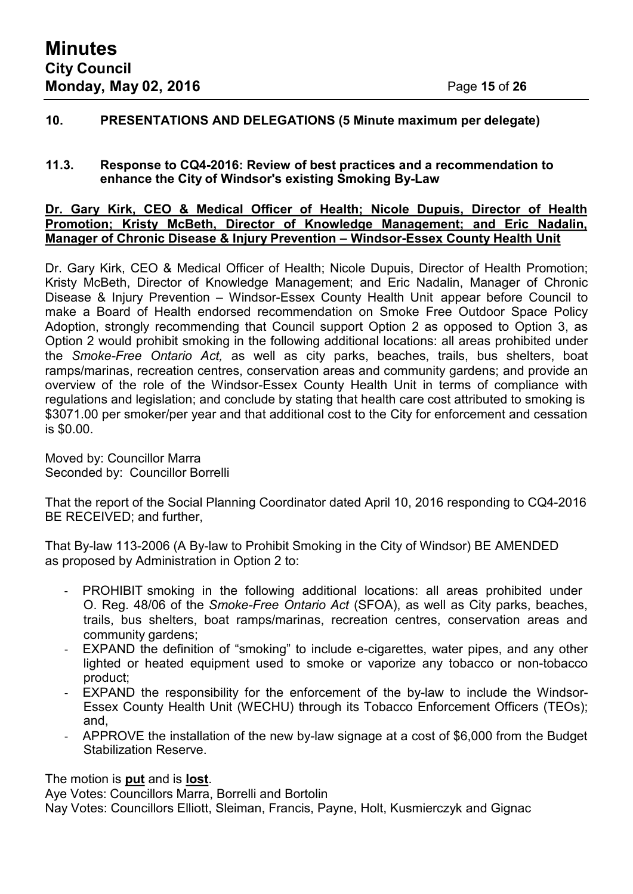# **10. PRESENTATIONS AND DELEGATIONS (5 Minute maximum per delegate)**

### **11.3. Response to CQ4-2016: Review of best practices and a recommendation to enhance the City of Windsor's existing Smoking By-Law**

#### **Dr. Gary Kirk, CEO & Medical Officer of Health; Nicole Dupuis, Director of Health Promotion; Kristy McBeth, Director of Knowledge Management; and Eric Nadalin, Manager of Chronic Disease & Injury Prevention – Windsor-Essex County Health Unit**

Dr. Gary Kirk, CEO & Medical Officer of Health; Nicole Dupuis, Director of Health Promotion; Kristy McBeth, Director of Knowledge Management; and Eric Nadalin, Manager of Chronic Disease & Injury Prevention – Windsor-Essex County Health Unit appear before Council to make a Board of Health endorsed recommendation on Smoke Free Outdoor Space Policy Adoption, strongly recommending that Council support Option 2 as opposed to Option 3, as Option 2 would prohibit smoking in the following additional locations: all areas prohibited under the *Smoke-Free Ontario Act,* as well as city parks, beaches, trails, bus shelters, boat ramps/marinas, recreation centres, conservation areas and community gardens; and provide an overview of the role of the Windsor-Essex County Health Unit in terms of compliance with regulations and legislation; and conclude by stating that health care cost attributed to smoking is \$3071.00 per smoker/per year and that additional cost to the City for enforcement and cessation is \$0.00.

Moved by: Councillor Marra Seconded by: Councillor Borrelli

That the report of the Social Planning Coordinator dated April 10, 2016 responding to CQ4-2016 BE RECEIVED; and further,

That By-law 113-2006 (A By-law to Prohibit Smoking in the City of Windsor) BE AMENDED as proposed by Administration in Option 2 to:

- PROHIBIT smoking in the following additional locations: all areas prohibited under O. Reg. 48/06 of the *Smoke-Free Ontario Act* (SFOA), as well as City parks, beaches, trails, bus shelters, boat ramps/marinas, recreation centres, conservation areas and community gardens;
- EXPAND the definition of "smoking" to include e-cigarettes, water pipes, and any other lighted or heated equipment used to smoke or vaporize any tobacco or non-tobacco product;
- EXPAND the responsibility for the enforcement of the by-law to include the Windsor-Essex County Health Unit (WECHU) through its Tobacco Enforcement Officers (TEOs); and,
- APPROVE the installation of the new by-law signage at a cost of \$6,000 from the Budget Stabilization Reserve.

The motion is **put** and is **lost**.

Aye Votes: Councillors Marra, Borrelli and Bortolin

Nay Votes: Councillors Elliott, Sleiman, Francis, Payne, Holt, Kusmierczyk and Gignac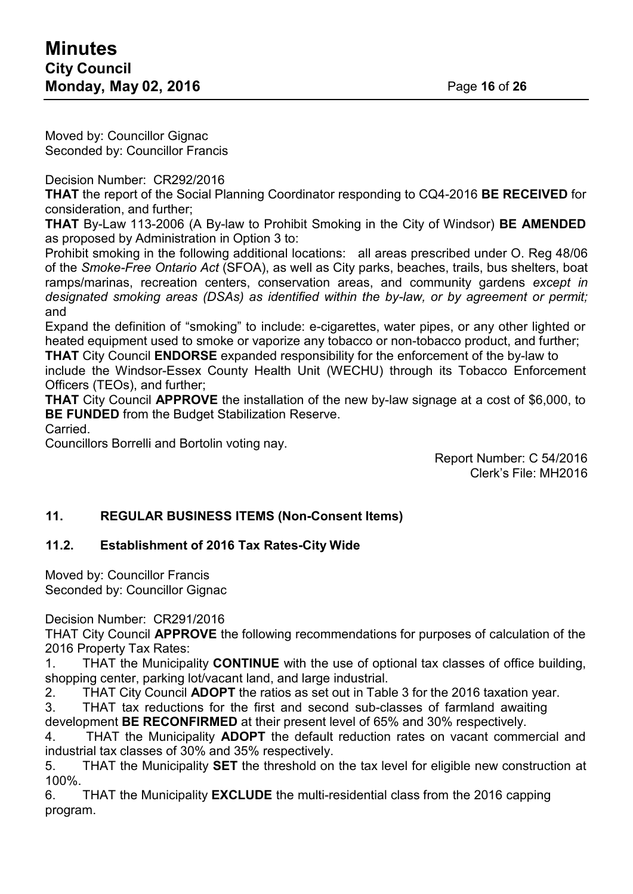Moved by: Councillor Gignac Seconded by: Councillor Francis

Decision Number: CR292/2016

**THAT** the report of the Social Planning Coordinator responding to CQ4-2016 **BE RECEIVED** for consideration, and further;

**THAT** By-Law 113-2006 (A By-law to Prohibit Smoking in the City of Windsor) **BE AMENDED** as proposed by Administration in Option 3 to:

Prohibit smoking in the following additional locations: all areas prescribed under O. Reg 48/06 of the *Smoke-Free Ontario Act* (SFOA), as well as City parks, beaches, trails, bus shelters, boat ramps/marinas, recreation centers, conservation areas, and community gardens *except in designated smoking areas (DSAs) as identified within the by-law, or by agreement or permit;* and

Expand the definition of "smoking" to include: e-cigarettes, water pipes, or any other lighted or heated equipment used to smoke or vaporize any tobacco or non-tobacco product, and further;

**THAT** City Council **ENDORSE** expanded responsibility for the enforcement of the by-law to include the Windsor-Essex County Health Unit (WECHU) through its Tobacco Enforcement Officers (TEOs), and further;

**THAT** City Council **APPROVE** the installation of the new by-law signage at a cost of \$6,000, to **BE FUNDED** from the Budget Stabilization Reserve.

Carried.

Councillors Borrelli and Bortolin voting nay.

Report Number: C 54/2016 Clerk's File: MH2016

# **11. REGULAR BUSINESS ITEMS (Non-Consent Items)**

# **11.2. Establishment of 2016 Tax Rates-City Wide**

Moved by: Councillor Francis Seconded by: Councillor Gignac

Decision Number: CR291/2016

THAT City Council **APPROVE** the following recommendations for purposes of calculation of the 2016 Property Tax Rates:

1. THAT the Municipality **CONTINUE** with the use of optional tax classes of office building, shopping center, parking lot/vacant land, and large industrial.

2. THAT City Council **ADOPT** the ratios as set out in Table 3 for the 2016 taxation year.

3. THAT tax reductions for the first and second sub-classes of farmland awaiting development **BE RECONFIRMED** at their present level of 65% and 30% respectively.

4. THAT the Municipality **ADOPT** the default reduction rates on vacant commercial and industrial tax classes of 30% and 35% respectively.

5. THAT the Municipality **SET** the threshold on the tax level for eligible new construction at 100%.

6. THAT the Municipality **EXCLUDE** the multi-residential class from the 2016 capping program.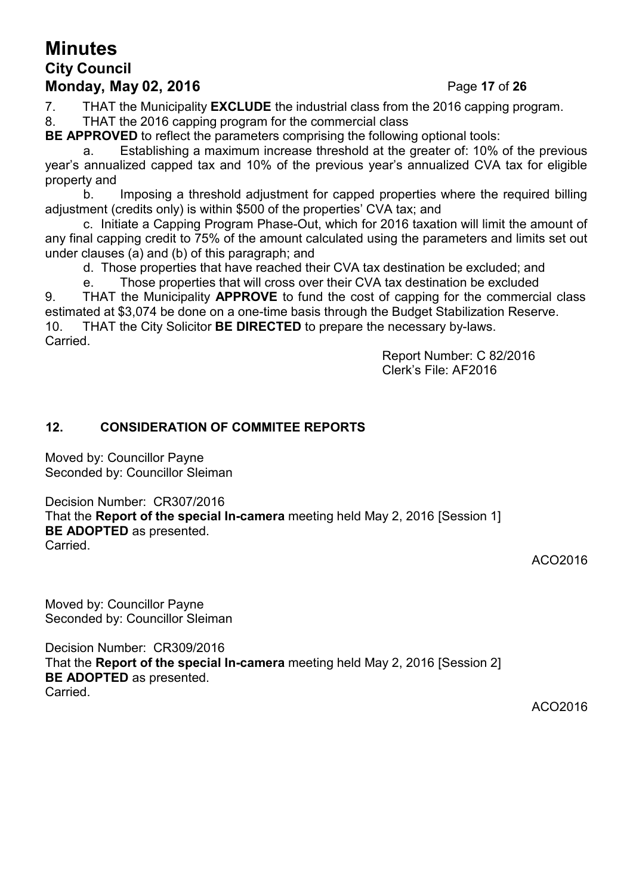# **Minutes City Council Monday, May 02, 2016** Page **17** of **26**

7. THAT the Municipality **EXCLUDE** the industrial class from the 2016 capping program.

8. THAT the 2016 capping program for the commercial class

**BE APPROVED** to reflect the parameters comprising the following optional tools:

a. Establishing a maximum increase threshold at the greater of: 10% of the previous year's annualized capped tax and 10% of the previous year's annualized CVA tax for eligible property and

b. Imposing a threshold adjustment for capped properties where the required billing adjustment (credits only) is within \$500 of the properties' CVA tax; and

c. Initiate a Capping Program Phase-Out, which for 2016 taxation will limit the amount of any final capping credit to 75% of the amount calculated using the parameters and limits set out under clauses (a) and (b) of this paragraph; and

d. Those properties that have reached their CVA tax destination be excluded; and

e. Those properties that will cross over their CVA tax destination be excluded 9. THAT the Municipality **APPROVE** to fund the cost of capping for the commercial class estimated at \$3,074 be done on a one-time basis through the Budget Stabilization Reserve. 10. THAT the City Solicitor **BE DIRECTED** to prepare the necessary by-laws. Carried.

Report Number: C 82/2016 Clerk's File: AF2016

# **12. CONSIDERATION OF COMMITEE REPORTS**

Moved by: Councillor Payne Seconded by: Councillor Sleiman

Decision Number: CR307/2016 That the **Report of the special In-camera** meeting held May 2, 2016 [Session 1] **BE ADOPTED** as presented. Carried.

ACO2016

Moved by: Councillor Payne Seconded by: Councillor Sleiman

Decision Number: CR309/2016 That the **Report of the special In-camera** meeting held May 2, 2016 [Session 2] **BE ADOPTED** as presented. Carried.

ACO2016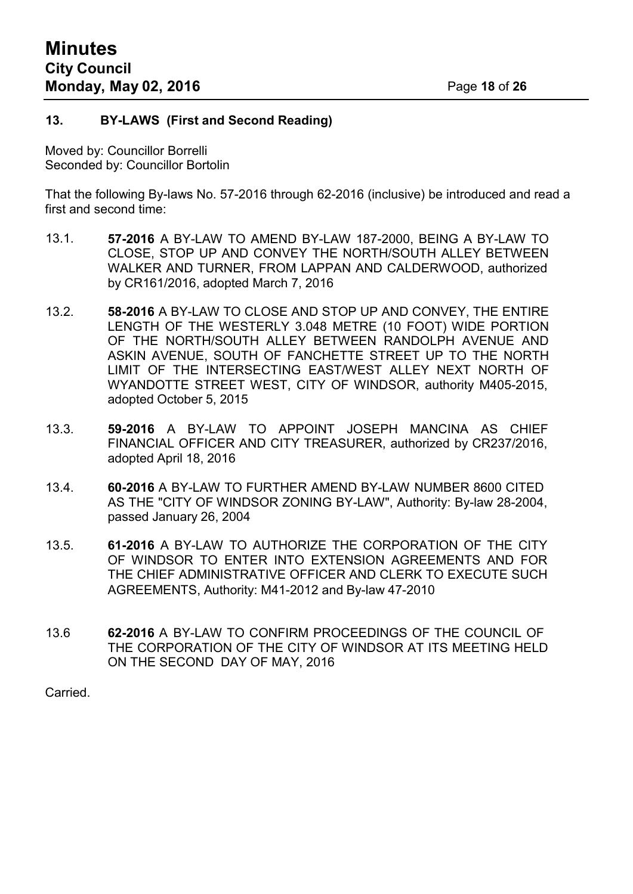### **13. BY-LAWS (First and Second Reading)**

Moved by: Councillor Borrelli Seconded by: Councillor Bortolin

That the following By-laws No. 57-2016 through 62-2016 (inclusive) be introduced and read a first and second time:

- 13.1. **57-2016** A BY-LAW TO AMEND BY-LAW 187-2000, BEING A BY-LAW TO CLOSE, STOP UP AND CONVEY THE NORTH/SOUTH ALLEY BETWEEN WALKER AND TURNER, FROM LAPPAN AND CALDERWOOD, authorized by CR161/2016, adopted March 7, 2016
- 13.2. **58-2016** A BY-LAW TO CLOSE AND STOP UP AND CONVEY, THE ENTIRE LENGTH OF THE WESTERLY 3.048 METRE (10 FOOT) WIDE PORTION OF THE NORTH/SOUTH ALLEY BETWEEN RANDOLPH AVENUE AND ASKIN AVENUE, SOUTH OF FANCHETTE STREET UP TO THE NORTH LIMIT OF THE INTERSECTING EAST/WEST ALLEY NEXT NORTH OF WYANDOTTE STREET WEST, CITY OF WINDSOR, authority M405-2015, adopted October 5, 2015
- 13.3. **59-2016** A BY-LAW TO APPOINT JOSEPH MANCINA AS CHIEF FINANCIAL OFFICER AND CITY TREASURER, authorized by CR237/2016, adopted April 18, 2016
- 13.4. **60-2016** A BY-LAW TO FURTHER AMEND BY-LAW NUMBER 8600 CITED AS THE "CITY OF WINDSOR ZONING BY-LAW", Authority: By-law 28-2004, passed January 26, 2004
- 13.5. **61-2016** A BY-LAW TO AUTHORIZE THE CORPORATION OF THE CITY OF WINDSOR TO ENTER INTO EXTENSION AGREEMENTS AND FOR THE CHIEF ADMINISTRATIVE OFFICER AND CLERK TO EXECUTE SUCH AGREEMENTS, Authority: M41-2012 and By-law 47-2010
- 13.6 **62-2016** A BY-LAW TO CONFIRM PROCEEDINGS OF THE COUNCIL OF THE CORPORATION OF THE CITY OF WINDSOR AT ITS MEETING HELD ON THE SECOND DAY OF MAY, 2016

Carried.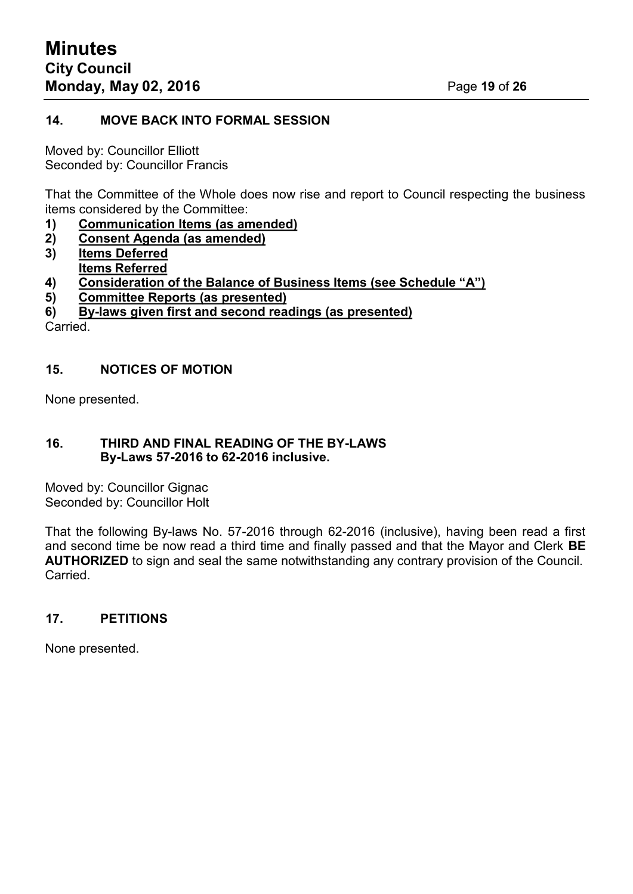# **14. MOVE BACK INTO FORMAL SESSION**

Moved by: Councillor Elliott Seconded by: Councillor Francis

That the Committee of the Whole does now rise and report to Council respecting the business items considered by the Committee:

- **1) Communication Items (as amended)**
- **2) Consent Agenda (as amended)**
- **3) Items Deferred Items Referred**
- **4) Consideration of the Balance of Business Items (see Schedule "A")**
- **5) Committee Reports (as presented)**
- **6) By-laws given first and second readings (as presented)**

Carried.

#### **15. NOTICES OF MOTION**

None presented.

#### **16. THIRD AND FINAL READING OF THE BY-LAWS By-Laws 57-2016 to 62-2016 inclusive.**

Moved by: Councillor Gignac Seconded by: Councillor Holt

That the following By-laws No. 57-2016 through 62-2016 (inclusive), having been read a first and second time be now read a third time and finally passed and that the Mayor and Clerk **BE AUTHORIZED** to sign and seal the same notwithstanding any contrary provision of the Council. Carried.

# **17. PETITIONS**

None presented.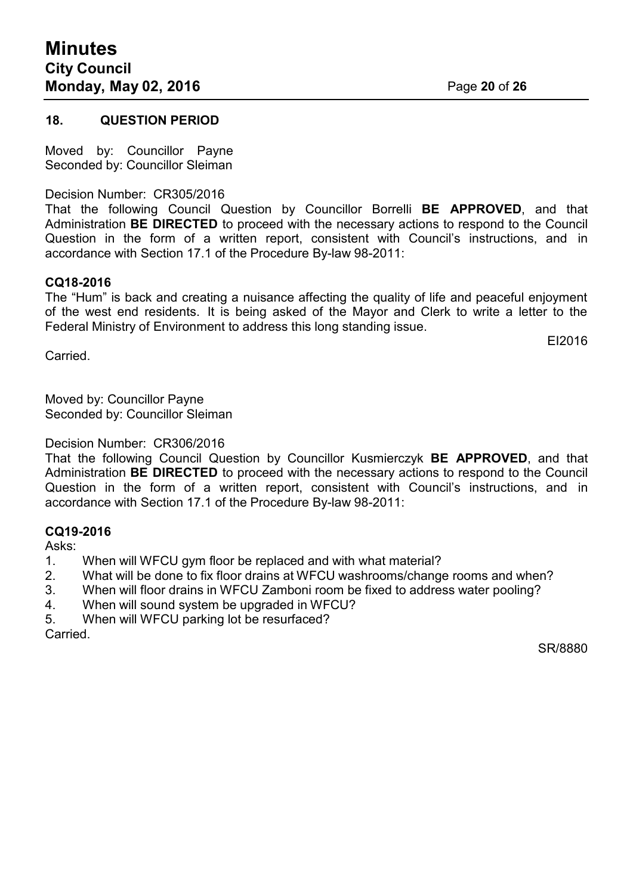#### **18. QUESTION PERIOD**

Moved by: Councillor Payne Seconded by: Councillor Sleiman

Decision Number: CR305/2016

That the following Council Question by Councillor Borrelli **BE APPROVED**, and that Administration **BE DIRECTED** to proceed with the necessary actions to respond to the Council Question in the form of a written report, consistent with Council's instructions, and in accordance with Section 17.1 of the Procedure By-law 98-2011:

#### **CQ18-2016**

The "Hum" is back and creating a nuisance affecting the quality of life and peaceful enjoyment of the west end residents. It is being asked of the Mayor and Clerk to write a letter to the Federal Ministry of Environment to address this long standing issue.

Carried.

EI2016

Moved by: Councillor Payne Seconded by: Councillor Sleiman

Decision Number: CR306/2016

That the following Council Question by Councillor Kusmierczyk **BE APPROVED**, and that Administration **BE DIRECTED** to proceed with the necessary actions to respond to the Council Question in the form of a written report, consistent with Council's instructions, and in accordance with Section 17.1 of the Procedure By-law 98-2011:

# **CQ19-2016**

Asks:

- 1. When will WFCU gym floor be replaced and with what material?
- 2. What will be done to fix floor drains at WFCU washrooms/change rooms and when?
- 3. When will floor drains in WFCU Zamboni room be fixed to address water pooling?
- 4. When will sound system be upgraded in WFCU?
- 5. When will WFCU parking lot be resurfaced?

Carried.

SR/8880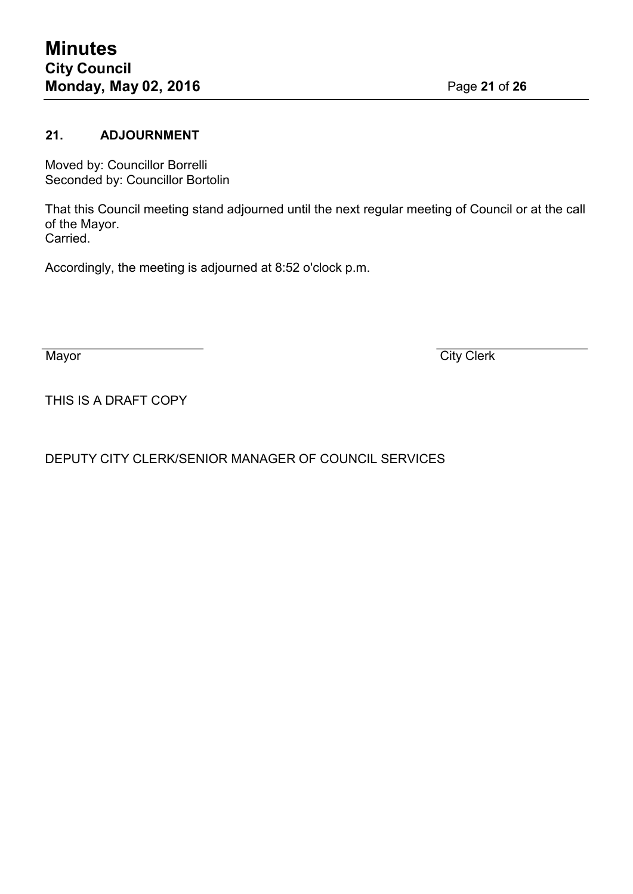# **21. ADJOURNMENT**

Moved by: Councillor Borrelli Seconded by: Councillor Bortolin

That this Council meeting stand adjourned until the next regular meeting of Council or at the call of the Mayor. Carried.

Accordingly, the meeting is adjourned at 8:52 o'clock p.m.

Mayor City Clerk

THIS IS A DRAFT COPY

DEPUTY CITY CLERK/SENIOR MANAGER OF COUNCIL SERVICES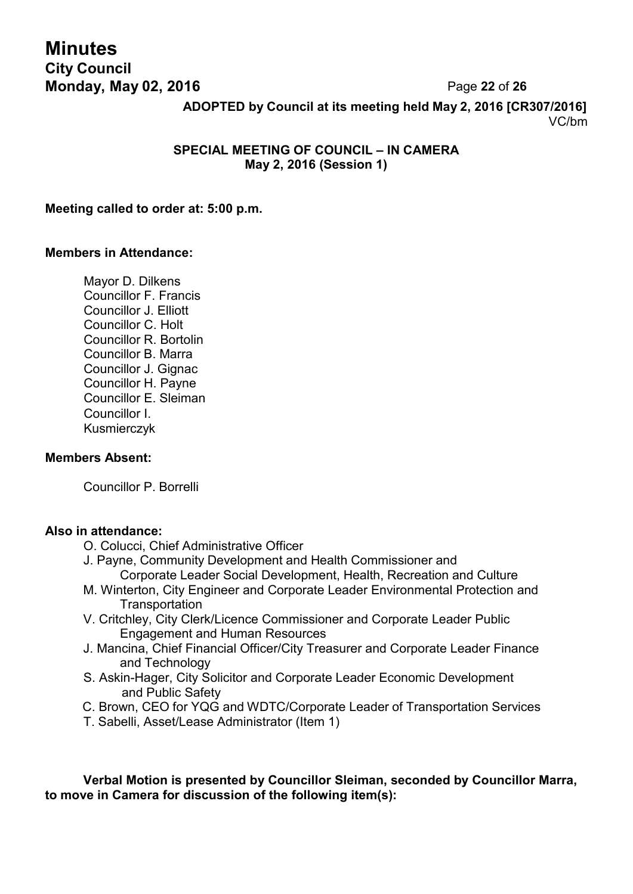# **Minutes City Council Monday, May 02, 2016** Page **22** of **26**

**ADOPTED by Council at its meeting held May 2, 2016 [CR307/2016]** VC/bm

# **SPECIAL MEETING OF COUNCIL – IN CAMERA May 2, 2016 (Session 1)**

### **Meeting called to order at: 5:00 p.m.**

#### **Members in Attendance:**

Mayor D. Dilkens Councillor F. Francis Councillor J. Elliott Councillor C. Holt Councillor R. Bortolin Councillor B. Marra Councillor J. Gignac Councillor H. Payne Councillor E. Sleiman Councillor I. Kusmierczyk

## **Members Absent:**

Councillor P. Borrelli

# **Also in attendance:**

- O. Colucci, Chief Administrative Officer
- J. Payne, Community Development and Health Commissioner and Corporate Leader Social Development, Health, Recreation and Culture
- M. Winterton, City Engineer and Corporate Leader Environmental Protection and **Transportation**
- V. Critchley, City Clerk/Licence Commissioner and Corporate Leader Public Engagement and Human Resources
- J. Mancina, Chief Financial Officer/City Treasurer and Corporate Leader Finance and Technology
- S. Askin-Hager, City Solicitor and Corporate Leader Economic Development and Public Safety
- C. Brown, CEO for YQG and WDTC/Corporate Leader of Transportation Services
- T. Sabelli, Asset/Lease Administrator (Item 1)

**Verbal Motion is presented by Councillor Sleiman, seconded by Councillor Marra, to move in Camera for discussion of the following item(s):**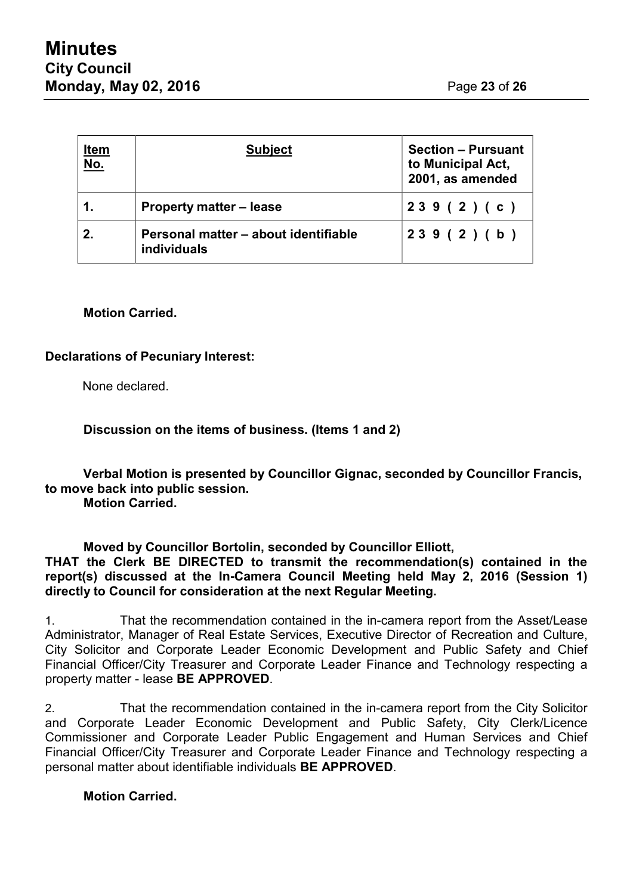| <u>Item</u><br><u>No.</u> | <b>Subject</b>                                             | <b>Section - Pursuant</b><br>to Municipal Act,<br>2001, as amended |
|---------------------------|------------------------------------------------------------|--------------------------------------------------------------------|
|                           | <b>Property matter – lease</b>                             | 239(2)(c)                                                          |
| 2.                        | Personal matter - about identifiable<br><b>individuals</b> | 239(2)(b)                                                          |

# **Motion Carried.**

# **Declarations of Pecuniary Interest:**

None declared.

**Discussion on the items of business. (Items 1 and 2)**

**Verbal Motion is presented by Councillor Gignac, seconded by Councillor Francis, to move back into public session.**

**Motion Carried.**

**Moved by Councillor Bortolin, seconded by Councillor Elliott, THAT the Clerk BE DIRECTED to transmit the recommendation(s) contained in the report(s) discussed at the In-Camera Council Meeting held May 2, 2016 (Session 1) directly to Council for consideration at the next Regular Meeting.**

1. That the recommendation contained in the in-camera report from the Asset/Lease Administrator, Manager of Real Estate Services, Executive Director of Recreation and Culture, City Solicitor and Corporate Leader Economic Development and Public Safety and Chief Financial Officer/City Treasurer and Corporate Leader Finance and Technology respecting a property matter - lease **BE APPROVED**.

2. That the recommendation contained in the in-camera report from the City Solicitor and Corporate Leader Economic Development and Public Safety, City Clerk/Licence Commissioner and Corporate Leader Public Engagement and Human Services and Chief Financial Officer/City Treasurer and Corporate Leader Finance and Technology respecting a personal matter about identifiable individuals **BE APPROVED**.

# **Motion Carried.**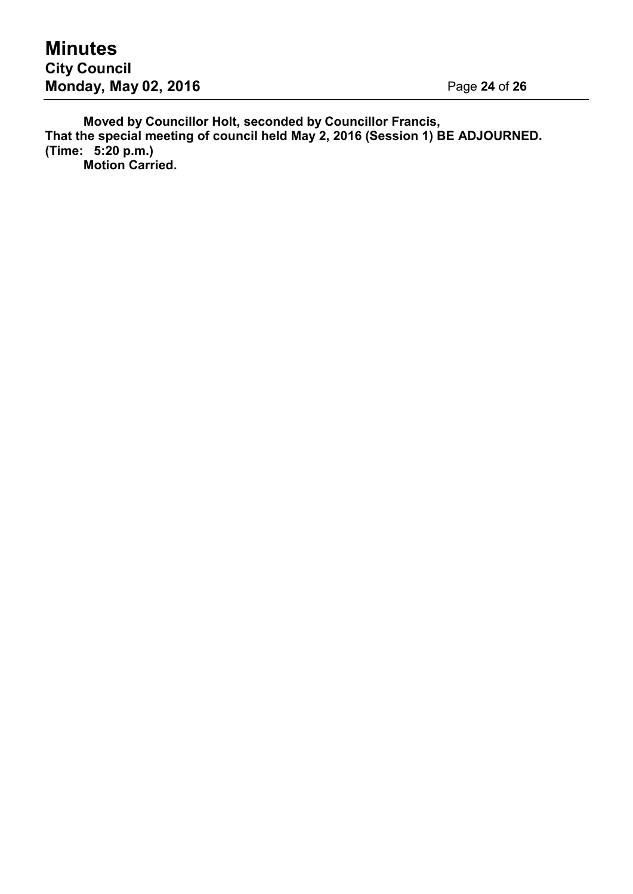**Moved by Councillor Holt, seconded by Councillor Francis, That the special meeting of council held May 2, 2016 (Session 1) BE ADJOURNED. (Time: 5:20 p.m.) Motion Carried.**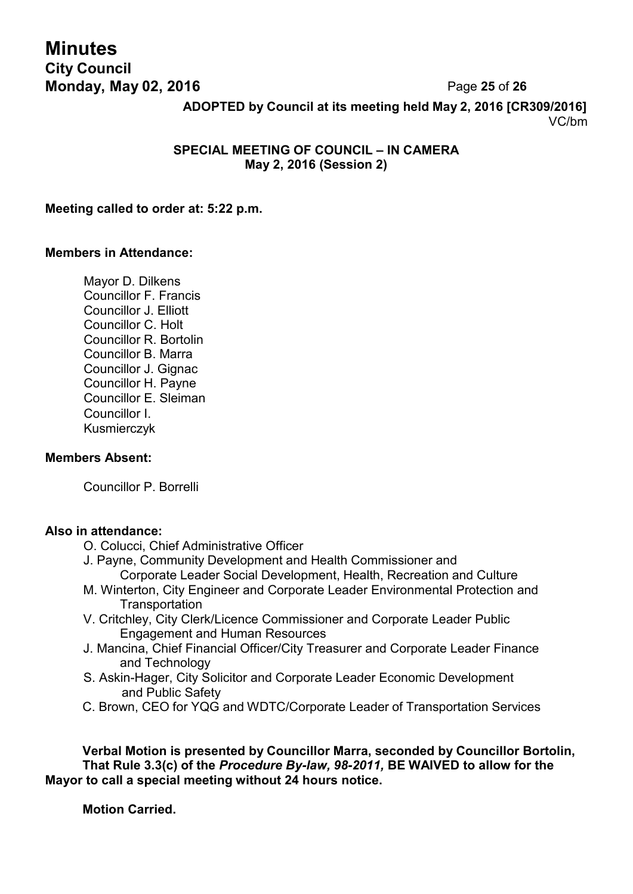# **Minutes City Council Monday, May 02, 2016** Page **25** of **26**

**ADOPTED by Council at its meeting held May 2, 2016 [CR309/2016]** VC/bm

# **SPECIAL MEETING OF COUNCIL – IN CAMERA May 2, 2016 (Session 2)**

#### **Meeting called to order at: 5:22 p.m.**

#### **Members in Attendance:**

Mayor D. Dilkens Councillor F. Francis Councillor J. Elliott Councillor C. Holt Councillor R. Bortolin Councillor B. Marra Councillor J. Gignac Councillor H. Payne Councillor E. Sleiman Councillor I. Kusmierczyk

#### **Members Absent:**

Councillor P. Borrelli

# **Also in attendance:**

- O. Colucci, Chief Administrative Officer
- J. Payne, Community Development and Health Commissioner and Corporate Leader Social Development, Health, Recreation and Culture
- M. Winterton, City Engineer and Corporate Leader Environmental Protection and **Transportation**
- V. Critchley, City Clerk/Licence Commissioner and Corporate Leader Public Engagement and Human Resources
- J. Mancina, Chief Financial Officer/City Treasurer and Corporate Leader Finance and Technology
- S. Askin-Hager, City Solicitor and Corporate Leader Economic Development and Public Safety
- C. Brown, CEO for YQG and WDTC/Corporate Leader of Transportation Services

**Verbal Motion is presented by Councillor Marra, seconded by Councillor Bortolin, That Rule 3.3(c) of the** *Procedure By-law, 98-2011,* **BE WAIVED to allow for the Mayor to call a special meeting without 24 hours notice.**

**Motion Carried.**